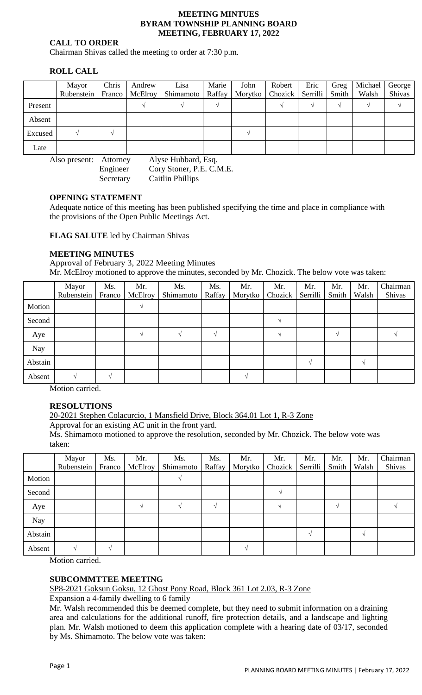#### **MEETING MINTUES BYRAM TOWNSHIP PLANNING BOARD MEETING, FEBRUARY 17, 2022**

## **CALL TO ORDER**

Chairman Shivas called the meeting to order at 7:30 p.m.

# **ROLL CALL**

|         | Mayor      | Chris  | Andrew  | Lisa      | Marie  | John | Robert            | Eric     | Greg  | Michael | George |
|---------|------------|--------|---------|-----------|--------|------|-------------------|----------|-------|---------|--------|
|         | Rubenstein | Franco | McElroy | Shimamoto | Raffay |      | Morytko   Chozick | Serrilli | Smith | Walsh   | Shivas |
| Present |            |        |         |           |        |      |                   |          |       |         |        |
| Absent  |            |        |         |           |        |      |                   |          |       |         |        |
| Excused |            |        |         |           |        |      |                   |          |       |         |        |
| Late    |            |        |         |           |        |      |                   |          |       |         |        |

Also present: Attorney Alyse Hubbard, Esq.

Engineer Cory Stoner, P.E. C.M.E. Secretary Caitlin Phillips

## **OPENING STATEMENT**

Adequate notice of this meeting has been published specifying the time and place in compliance with the provisions of the Open Public Meetings Act.

**FLAG SALUTE** led by Chairman Shivas

## **MEETING MINUTES**

Approval of February 3, 2022 Meeting Minutes Mr. McElroy motioned to approve the minutes, seconded by Mr. Chozick. The below vote was taken:

|         | Mayor      | Ms.    | Mr.     | Ms.       | Ms.    | Mr.     | Mr.     | Mr.      | Mr.   | Mr.   | Chairman |
|---------|------------|--------|---------|-----------|--------|---------|---------|----------|-------|-------|----------|
|         | Rubenstein | Franco | McElroy | Shimamoto | Raffay | Morytko | Chozick | Serrilli | Smith | Walsh | Shivas   |
| Motion  |            |        |         |           |        |         |         |          |       |       |          |
| Second  |            |        |         |           |        |         |         |          |       |       |          |
| Aye     |            |        |         |           |        |         |         |          |       |       |          |
| Nay     |            |        |         |           |        |         |         |          |       |       |          |
| Abstain |            |        |         |           |        |         |         |          |       |       |          |
| Absent  |            |        |         |           |        |         |         |          |       |       |          |

Motion carried.

# **RESOLUTIONS**

20-2021 Stephen Colacurcio, 1 Mansfield Drive, Block 364.01 Lot 1, R-3 Zone

Approval for an existing AC unit in the front yard.

Ms. Shimamoto motioned to approve the resolution, seconded by Mr. Chozick. The below vote was taken:

|            | Mayor      | Ms.    | Mr.     | Ms.       | Ms.      | Mr.     | Mr.     | Mr.      | Mr.   | Mr.               | Chairman |
|------------|------------|--------|---------|-----------|----------|---------|---------|----------|-------|-------------------|----------|
|            | Rubenstein | Franco | McElroy | Shimamoto | Raffay   | Morytko | Chozick | Serrilli | Smith | Walsh             | Shivas   |
| Motion     |            |        |         |           |          |         |         |          |       |                   |          |
| Second     |            |        |         |           |          |         |         |          |       |                   |          |
| Aye        |            |        |         |           | $\Delta$ |         |         |          |       |                   |          |
| <b>Nay</b> |            |        |         |           |          |         |         |          |       |                   |          |
| Abstain    |            |        |         |           |          |         |         |          |       | $\mathbf{\hat{}}$ |          |
| Absent     |            |        |         |           |          |         |         |          |       |                   |          |

Motion carried.

### **SUBCOMMTTEE MEETING**

SP8-2021 Goksun Goksu, 12 Ghost Pony Road, Block 361 Lot 2.03, R-3 Zone

Expansion a 4-family dwelling to 6 family

Mr. Walsh recommended this be deemed complete, but they need to submit information on a draining area and calculations for the additional runoff, fire protection details, and a landscape and lighting plan. Mr. Walsh motioned to deem this application complete with a hearing date of 03/17, seconded by Ms. Shimamoto. The below vote was taken: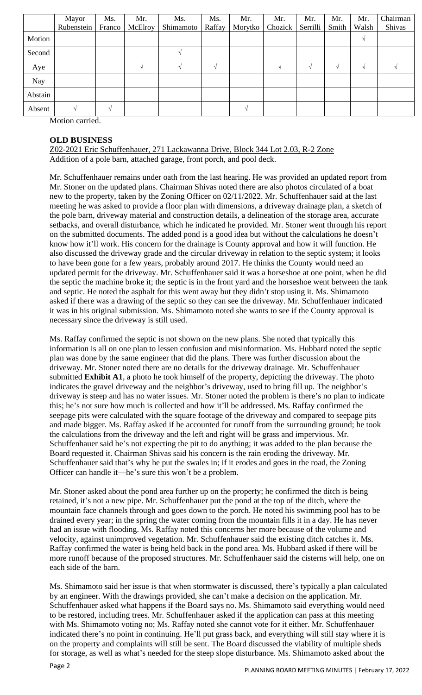|         | Mayor      | Ms.    | Mr.            | Ms.       | Ms.    | Mr.     | Mr.     | Mr.      | Mr.    | Mr.        | Chairman |
|---------|------------|--------|----------------|-----------|--------|---------|---------|----------|--------|------------|----------|
|         | Rubenstein | Franco | <b>McElroy</b> | Shimamoto | Raffay | Morytko | Chozick | Serrilli | Smith  | Walsh      | Shivas   |
| Motion  |            |        |                |           |        |         |         |          |        | V          |          |
| Second  |            |        |                |           |        |         |         |          |        |            |          |
| Aye     |            |        |                |           |        |         |         |          | $\sim$ | $\sqrt{ }$ |          |
| Nay     |            |        |                |           |        |         |         |          |        |            |          |
| Abstain |            |        |                |           |        |         |         |          |        |            |          |
| Absent  |            | $\sim$ |                |           |        |         |         |          |        |            |          |

Motion carried.

## **OLD BUSINESS**

Z02-2021 Eric Schuffenhauer, 271 Lackawanna Drive, Block 344 Lot 2.03, R-2 Zone Addition of a pole barn, attached garage, front porch, and pool deck.

Mr. Schuffenhauer remains under oath from the last hearing. He was provided an updated report from Mr. Stoner on the updated plans. Chairman Shivas noted there are also photos circulated of a boat new to the property, taken by the Zoning Officer on 02/11/2022. Mr. Schuffenhauer said at the last meeting he was asked to provide a floor plan with dimensions, a driveway drainage plan, a sketch of the pole barn, driveway material and construction details, a delineation of the storage area, accurate setbacks, and overall disturbance, which he indicated he provided. Mr. Stoner went through his report on the submitted documents. The added pond is a good idea but without the calculations he doesn't know how it'll work. His concern for the drainage is County approval and how it will function. He also discussed the driveway grade and the circular driveway in relation to the septic system; it looks to have been gone for a few years, probably around 2017. He thinks the County would need an updated permit for the driveway. Mr. Schuffenhauer said it was a horseshoe at one point, when he did the septic the machine broke it; the septic is in the front yard and the horseshoe went between the tank and septic. He noted the asphalt for this went away but they didn't stop using it. Ms. Shimamoto asked if there was a drawing of the septic so they can see the driveway. Mr. Schuffenhauer indicated it was in his original submission. Ms. Shimamoto noted she wants to see if the County approval is necessary since the driveway is still used.

Ms. Raffay confirmed the septic is not shown on the new plans. She noted that typically this information is all on one plan to lessen confusion and misinformation. Ms. Hubbard noted the septic plan was done by the same engineer that did the plans. There was further discussion about the driveway. Mr. Stoner noted there are no details for the driveway drainage. Mr. Schuffenhauer submitted **Exhibit A1**, a photo he took himself of the property, depicting the driveway. The photo indicates the gravel driveway and the neighbor's driveway, used to bring fill up. The neighbor's driveway is steep and has no water issues. Mr. Stoner noted the problem is there's no plan to indicate this; he's not sure how much is collected and how it'll be addressed. Ms. Raffay confirmed the seepage pits were calculated with the square footage of the driveway and compared to seepage pits and made bigger. Ms. Raffay asked if he accounted for runoff from the surrounding ground; he took the calculations from the driveway and the left and right will be grass and impervious. Mr. Schuffenhauer said he's not expecting the pit to do anything; it was added to the plan because the Board requested it. Chairman Shivas said his concern is the rain eroding the driveway. Mr. Schuffenhauer said that's why he put the swales in; if it erodes and goes in the road, the Zoning Officer can handle it—he's sure this won't be a problem.

Mr. Stoner asked about the pond area further up on the property; he confirmed the ditch is being retained, it's not a new pipe. Mr. Schuffenhauer put the pond at the top of the ditch, where the mountain face channels through and goes down to the porch. He noted his swimming pool has to be drained every year; in the spring the water coming from the mountain fills it in a day. He has never had an issue with flooding. Ms. Raffay noted this concerns her more because of the volume and velocity, against unimproved vegetation. Mr. Schuffenhauer said the existing ditch catches it. Ms. Raffay confirmed the water is being held back in the pond area. Ms. Hubbard asked if there will be more runoff because of the proposed structures. Mr. Schuffenhauer said the cisterns will help, one on each side of the barn.

Ms. Shimamoto said her issue is that when stormwater is discussed, there's typically a plan calculated by an engineer. With the drawings provided, she can't make a decision on the application. Mr. Schuffenhauer asked what happens if the Board says no. Ms. Shimamoto said everything would need to be restored, including trees. Mr. Schuffenhauer asked if the application can pass at this meeting with Ms. Shimamoto voting no; Ms. Raffay noted she cannot vote for it either. Mr. Schuffenhauer indicated there's no point in continuing. He'll put grass back, and everything will still stay where it is on the property and complaints will still be sent. The Board discussed the viability of multiple sheds for storage, as well as what's needed for the steep slope disturbance. Ms. Shimamoto asked about the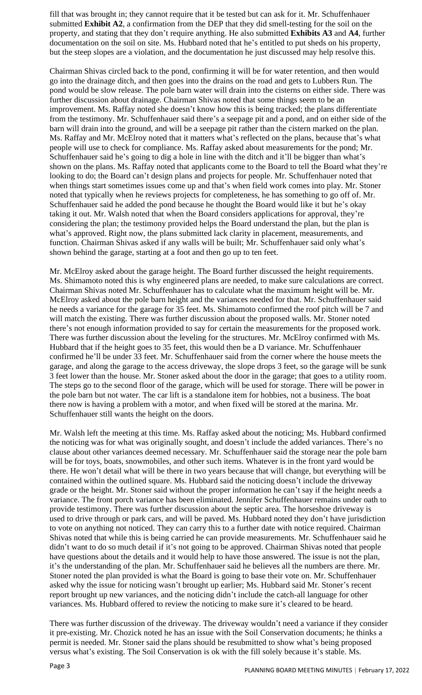fill that was brought in; they cannot require that it be tested but can ask for it. Mr. Schuffenhauer submitted **Exhibit A2**, a confirmation from the DEP that they did smell-testing for the soil on the property, and stating that they don't require anything. He also submitted **Exhibits A3** and **A4**, further documentation on the soil on site. Ms. Hubbard noted that he's entitled to put sheds on his property, but the steep slopes are a violation, and the documentation he just discussed may help resolve this.

Chairman Shivas circled back to the pond, confirming it will be for water retention, and then would go into the drainage ditch, and then goes into the drains on the road and gets to Lubbers Run. The pond would be slow release. The pole barn water will drain into the cisterns on either side. There was further discussion about drainage. Chairman Shivas noted that some things seem to be an improvement. Ms. Raffay noted she doesn't know how this is being tracked; the plans differentiate from the testimony. Mr. Schuffenhauer said there's a seepage pit and a pond, and on either side of the barn will drain into the ground, and will be a seepage pit rather than the cistern marked on the plan. Ms. Raffay and Mr. McElroy noted that it matters what's reflected on the plans, because that's what people will use to check for compliance. Ms. Raffay asked about measurements for the pond; Mr. Schuffenhauer said he's going to dig a hole in line with the ditch and it'll be bigger than what's shown on the plans. Ms. Raffay noted that applicants come to the Board to tell the Board what they're looking to do; the Board can't design plans and projects for people. Mr. Schuffenhauer noted that when things start sometimes issues come up and that's when field work comes into play. Mr. Stoner noted that typically when he reviews projects for completeness, he has something to go off of. Mr. Schuffenhauer said he added the pond because he thought the Board would like it but he's okay taking it out. Mr. Walsh noted that when the Board considers applications for approval, they're considering the plan; the testimony provided helps the Board understand the plan, but the plan is what's approved. Right now, the plans submitted lack clarity in placement, measurements, and function. Chairman Shivas asked if any walls will be built; Mr. Schuffenhauer said only what's shown behind the garage, starting at a foot and then go up to ten feet.

Mr. McElroy asked about the garage height. The Board further discussed the height requirements. Ms. Shimamoto noted this is why engineered plans are needed, to make sure calculations are correct. Chairman Shivas noted Mr. Schuffenhauer has to calculate what the maximum height will be. Mr. McElroy asked about the pole barn height and the variances needed for that. Mr. Schuffenhauer said he needs a variance for the garage for 35 feet. Ms. Shimamoto confirmed the roof pitch will be 7 and will match the existing. There was further discussion about the proposed walls. Mr. Stoner noted there's not enough information provided to say for certain the measurements for the proposed work. There was further discussion about the leveling for the structures. Mr. McElroy confirmed with Ms. Hubbard that if the height goes to 35 feet, this would then be a D variance. Mr. Schuffenhauer confirmed he'll be under 33 feet. Mr. Schuffenhauer said from the corner where the house meets the garage, and along the garage to the access driveway, the slope drops 3 feet, so the garage will be sunk 3 feet lower than the house. Mr. Stoner asked about the door in the garage; that goes to a utility room. The steps go to the second floor of the garage, which will be used for storage. There will be power in the pole barn but not water. The car lift is a standalone item for hobbies, not a business. The boat there now is having a problem with a motor, and when fixed will be stored at the marina. Mr. Schuffenhauer still wants the height on the doors.

Mr. Walsh left the meeting at this time. Ms. Raffay asked about the noticing; Ms. Hubbard confirmed the noticing was for what was originally sought, and doesn't include the added variances. There's no clause about other variances deemed necessary. Mr. Schuffenhauer said the storage near the pole barn will be for toys, boats, snowmobiles, and other such items. Whatever is in the front yard would be there. He won't detail what will be there in two years because that will change, but everything will be contained within the outlined square. Ms. Hubbard said the noticing doesn't include the driveway grade or the height. Mr. Stoner said without the proper information he can't say if the height needs a variance. The front porch variance has been eliminated. Jennifer Schuffenhauer remains under oath to provide testimony. There was further discussion about the septic area. The horseshoe driveway is used to drive through or park cars, and will be paved. Ms. Hubbard noted they don't have jurisdiction to vote on anything not noticed. They can carry this to a further date with notice required. Chairman Shivas noted that while this is being carried he can provide measurements. Mr. Schuffenhauer said he didn't want to do so much detail if it's not going to be approved. Chairman Shivas noted that people have questions about the details and it would help to have those answered. The issue is not the plan, it's the understanding of the plan. Mr. Schuffenhauer said he believes all the numbers are there. Mr. Stoner noted the plan provided is what the Board is going to base their vote on. Mr. Schuffenhauer asked why the issue for noticing wasn't brought up earlier; Ms. Hubbard said Mr. Stoner's recent report brought up new variances, and the noticing didn't include the catch-all language for other variances. Ms. Hubbard offered to review the noticing to make sure it's cleared to be heard.

There was further discussion of the driveway. The driveway wouldn't need a variance if they consider it pre-existing. Mr. Chozick noted he has an issue with the Soil Conservation documents; he thinks a permit is needed. Mr. Stoner said the plans should be resubmitted to show what's being proposed versus what's existing. The Soil Conservation is ok with the fill solely because it's stable. Ms.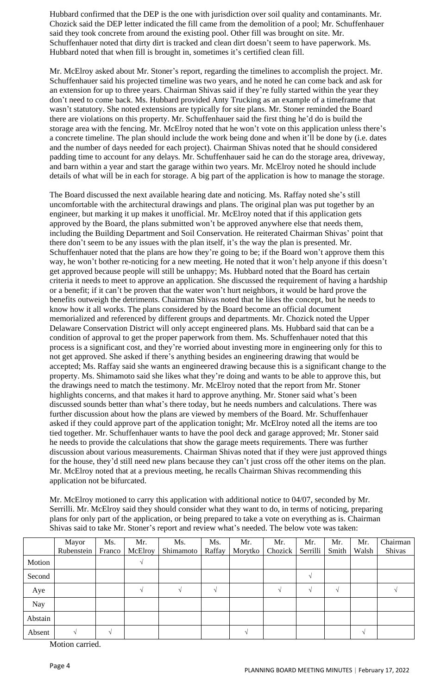Hubbard confirmed that the DEP is the one with jurisdiction over soil quality and contaminants. Mr. Chozick said the DEP letter indicated the fill came from the demolition of a pool; Mr. Schuffenhauer said they took concrete from around the existing pool. Other fill was brought on site. Mr. Schuffenhauer noted that dirty dirt is tracked and clean dirt doesn't seem to have paperwork. Ms. Hubbard noted that when fill is brought in, sometimes it's certified clean fill.

Mr. McElroy asked about Mr. Stoner's report, regarding the timelines to accomplish the project. Mr. Schuffenhauer said his projected timeline was two years, and he noted he can come back and ask for an extension for up to three years. Chairman Shivas said if they're fully started within the year they don't need to come back. Ms. Hubbard provided Anty Trucking as an example of a timeframe that wasn't statutory. She noted extensions are typically for site plans. Mr. Stoner reminded the Board there are violations on this property. Mr. Schuffenhauer said the first thing he'd do is build the storage area with the fencing. Mr. McElroy noted that he won't vote on this application unless there's a concrete timeline. The plan should include the work being done and when it'll be done by (i.e. dates and the number of days needed for each project). Chairman Shivas noted that he should considered padding time to account for any delays. Mr. Schuffenhauer said he can do the storage area, driveway, and barn within a year and start the garage within two years. Mr. McElroy noted he should include details of what will be in each for storage. A big part of the application is how to manage the storage.

The Board discussed the next available hearing date and noticing. Ms. Raffay noted she's still uncomfortable with the architectural drawings and plans. The original plan was put together by an engineer, but marking it up makes it unofficial. Mr. McElroy noted that if this application gets approved by the Board, the plans submitted won't be approved anywhere else that needs them, including the Building Department and Soil Conservation. He reiterated Chairman Shivas' point that there don't seem to be any issues with the plan itself, it's the way the plan is presented. Mr. Schuffenhauer noted that the plans are how they're going to be; if the Board won't approve them this way, he won't bother re-noticing for a new meeting. He noted that it won't help anyone if this doesn't get approved because people will still be unhappy; Ms. Hubbard noted that the Board has certain criteria it needs to meet to approve an application. She discussed the requirement of having a hardship or a benefit; if it can't be proven that the water won't hurt neighbors, it would be hard prove the benefits outweigh the detriments. Chairman Shivas noted that he likes the concept, but he needs to know how it all works. The plans considered by the Board become an official document memorialized and referenced by different groups and departments. Mr. Chozick noted the Upper Delaware Conservation District will only accept engineered plans. Ms. Hubbard said that can be a condition of approval to get the proper paperwork from them. Ms. Schuffenhauer noted that this process is a significant cost, and they're worried about investing more in engineering only for this to not get approved. She asked if there's anything besides an engineering drawing that would be accepted; Ms. Raffay said she wants an engineered drawing because this is a significant change to the property. Ms. Shimamoto said she likes what they're doing and wants to be able to approve this, but the drawings need to match the testimony. Mr. McElroy noted that the report from Mr. Stoner highlights concerns, and that makes it hard to approve anything. Mr. Stoner said what's been discussed sounds better than what's there today, but he needs numbers and calculations. There was further discussion about how the plans are viewed by members of the Board. Mr. Schuffenhauer asked if they could approve part of the application tonight; Mr. McElroy noted all the items are too tied together. Mr. Schuffenhauer wants to have the pool deck and garage approved; Mr. Stoner said he needs to provide the calculations that show the garage meets requirements. There was further discussion about various measurements. Chairman Shivas noted that if they were just approved things for the house, they'd still need new plans because they can't just cross off the other items on the plan. Mr. McElroy noted that at a previous meeting, he recalls Chairman Shivas recommending this application not be bifurcated.

Mr. McElroy motioned to carry this application with additional notice to 04/07, seconded by Mr. Serrilli. Mr. McElroy said they should consider what they want to do, in terms of noticing, preparing plans for only part of the application, or being prepared to take a vote on everything as is. Chairman Shivas said to take Mr. Stoner's report and review what's needed. The below vote was taken:

|         | Mayor      | Ms.    | Mr.     | Ms.       | Ms.    | Mr.     | Mr.     | Mr.      | Mr.      | Mr.   | Chairman |
|---------|------------|--------|---------|-----------|--------|---------|---------|----------|----------|-------|----------|
|         | Rubenstein | Franco | McElroy | Shimamoto | Raffay | Morytko | Chozick | Serrilli | Smith    | Walsh | Shivas   |
| Motion  |            |        |         |           |        |         |         |          |          |       |          |
| Second  |            |        |         |           |        |         |         |          |          |       |          |
| Aye     |            |        |         |           |        |         |         |          | $\Delta$ |       |          |
| Nay     |            |        |         |           |        |         |         |          |          |       |          |
| Abstain |            |        |         |           |        |         |         |          |          |       |          |
| Absent  |            |        |         |           |        |         |         |          |          |       |          |

Motion carried.